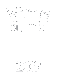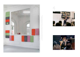

Morgan Bassichis, *Me, but Also Everybody! (Part II)*, 2017. Performance view, *Greater New York*Study Sessions: Morgan Bassichis, 2018. Performance view, Whitney Museum of American Art, New York, NY, 2018 , MoMA PS1, Queens, NY, 2015. , MoMAPS1, Queens, NY, 2015<br>Art, New York, NY, 2018





5

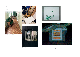



Waiting room, Lviv, Ukraine, 2018



Materials stored in the artist's apartment, 2018



Process image, 2017



Untitled work in progress, 2010



House on the Rock, Iowa County, WI, 2009

OLGA BALEMA